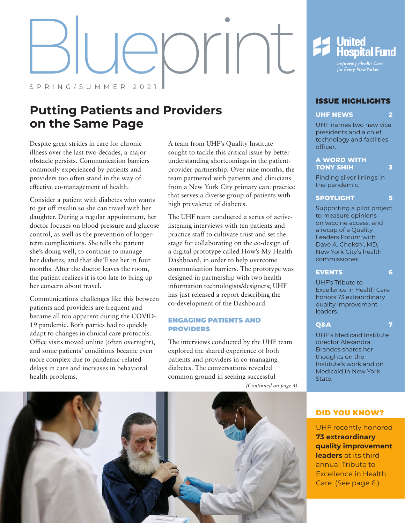# $P(S)$ SPRING/SUMMER 2021

# **Putting Patients and Providers on the Same Page**

Despite great strides in care for chronic illness over the last two decades, a major obstacle persists. Communication barriers commonly experienced by patients and providers too often stand in the way of effective co-management of health.

Consider a patient with diabetes who wants to get off insulin so she can travel with her daughter. During a regular appointment, her doctor focuses on blood pressure and glucose control, as well as the prevention of longerterm complications. She tells the patient she's doing well, to continue to manage her diabetes, and that she'll see her in four months. After the doctor leaves the room, the patient realizes it is too late to bring up her concern about travel.

Communications challenges like this between patients and providers are frequent and became all too apparent during the COVID-19 pandemic. Both parties had to quickly adapt to changes in clinical care protocols. Office visits moved online (often overnight), and some patients' conditions became even more complex due to pandemic-related delays in care and increases in behavioral health problems.

A team from UHF's Quality Institute sought to tackle this critical issue by better understanding shortcomings in the patientprovider partnership. Over nine months, the team partnered with patients and clinicians from a New York City primary care practice that serves a diverse group of patients with high prevalence of diabetes.

The UHF team conducted a series of activelistening interviews with ten patients and practice staff to cultivate trust and set the stage for collaborating on the co-design of a digital prototype called How's My Health Dashboard, in order to help overcome communication barriers. The prototype was designed in partnership with two health information technologists/designers; UHF has just released a report describing the co-development of the Dashboard.

# ENGAGING PATIENTS AND PROVIDERS

The interviews conducted by the UHF team explored the shared experience of both patients and providers in co-managing diabetes. The conversations revealed common ground in seeking successful

*(Continued on page 4)*



# ISSUE HIGHLIGHTS

# **UHF NEWS [2](#page-1-0)**

UHF names two new vice presidents and a chief technology and facilities officer[.](#page-1-0)

# **[A WORD WITH](#page-2-0)  [TONY SHIH](#page-2-0) 3**

Finding silver linings in the pandemic.

# **SPOTLIGHT [5](#page-4-0)**

[Supporting a pilot project](#page-4-0)  [to measure opinions](#page-4-0)  [on vaccine access; and](#page-4-0)  [a recap of a Quality](#page-4-0)  [Leaders Forum with](#page-4-0)  [Dave A. Chokshi, MD,](#page-4-0)  [New York City's health](#page-4-0)  [commissioner.](#page-4-0)

# **EVENTS [6](#page-5-0)**

UHF's Tribute to Excellence in Health Care honors 73 extraordinary quality improvement leaders[.](#page-5-0)

# **[Q&A](#page-6-0) 7**

UHF's Medicaid Institute director Alexandra Brandes shares her thoughts on the Institute's work and on Medicaid in New York State.

# DID YOU KNOW?

UHF recently honored **73 extraordinary quality improvement leaders** at its third annual Tribute to Excellence in Health Care. (See page 6.)

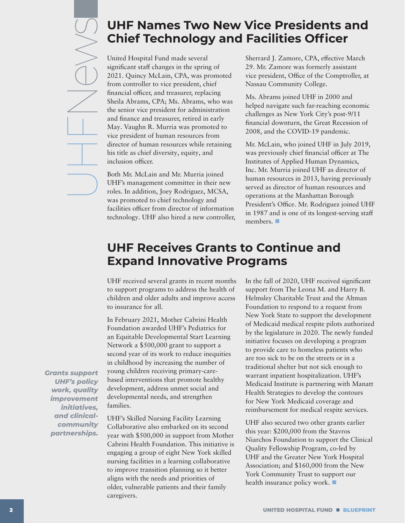# <span id="page-1-0"></span>**UHF Names Two New Vice Presidents and Chief Technology and Facilities Officer**

United Hospital Fund made several significant staff changes in the spring of 2021. Quincy McLain, CPA, was promoted from controller to vice president, chief financial officer, and treasurer, replacing Sheila Abrams, CPA; Ms. Abrams, who was the senior vice president for administration and finance and treasurer, retired in early May. Vaughn R. Murria was promoted to vice president of human resources from director of human resources while retaining his title as chief diversity, equity, and inclusion officer.

Both Mr. McLain and Mr. Murria joined UHF's management committee in their new roles. In addition, Joey Rodriguez, MCSA, was promoted to chief technology and facilities officer from director of information technology. UHF also hired a new controller, Sherrard J. Zamore, CPA, effective March 29. Mr. Zamore was formerly assistant vice president, Office of the Comptroller, at Nassau Community College.

Ms. Abrams joined UHF in 2000 and helped navigate such far-reaching economic challenges as New York City's post-9/11 financial downturn, the Great Recession of 2008, and the COVID-19 pandemic.

Mr. McLain, who joined UHF in July 2019, was previously chief financial officer at The Institutes of Applied Human Dynamics, Inc. Mr. Murria joined UHF as director of human resources in 2013, having previously served as director of human resources and operations at the Manhattan Borough President's Office. Mr. Rodriguez joined UHF in 1987 and is one of its longest-serving staff members. ■

# **UHF Receives Grants to Continue and Expand Innovative Programs**

UHF received several grants in recent months to support programs to address the health of children and older adults and improve access to insurance for all.

In February 2021, Mother Cabrini Health Foundation awarded UHF's Pediatrics for an Equitable Developmental Start Learning Network a \$500,000 grant to support a second year of its work to reduce inequities in childhood by increasing the number of young children receiving primary-carebased interventions that promote healthy development, address unmet social and developmental needs, and strengthen families.

UHF's Skilled Nursing Facility Learning Collaborative also embarked on its second year with \$500,000 in support from Mother Cabrini Health Foundation. This initiative is engaging a group of eight New York skilled nursing facilities in a learning collaborative to improve transition planning so it better aligns with the needs and priorities of older, vulnerable patients and their family caregivers.

In the fall of 2020, UHF received significant support from The Leona M. and Harry B. Helmsley Charitable Trust and the Altman Foundation to respond to a request from New York State to support the development of Medicaid medical respite pilots authorized by the legislature in 2020. The newly funded initiative focuses on developing a program to provide care to homeless patients who are too sick to be on the streets or in a traditional shelter but not sick enough to warrant inpatient hospitalization. UHF's Medicaid Institute is partnering with Manatt Health Strategies to develop the contours for New York Medicaid coverage and reimbursement for medical respite services.

UHF also secured two other grants earlier this year: \$200,000 from the Stavros Niarchos Foundation to support the Clinical Quality Fellowship Program, co-led by UHF and the Greater New York Hospital Association; and \$160,000 from the New York Community Trust to support our health insurance policy work.

*Grants support UHF's policy work, quality improvement initiatives, and clinicalcommunity partnerships.*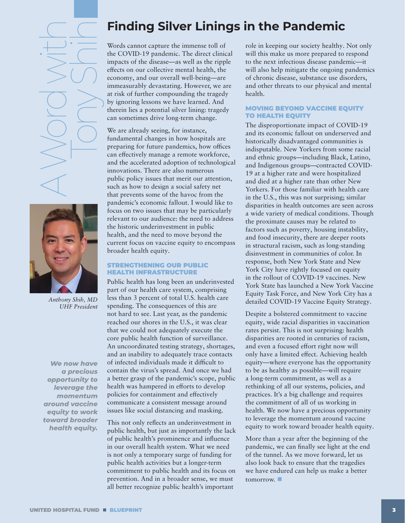<span id="page-2-0"></span>A Word with Tony Shih



*Anthony Shih, MD UHF President*

*We now have a precious opportunity to leverage the momentum around vaccine equity to work toward broader health equity.*

# **Finding Silver Linings in the Pandemic**

Words cannot capture the immense toll of the COVID-19 pandemic. The direct clinical impacts of the disease—as well as the ripple effects on our collective mental health, the economy, and our overall well-being—are immeasurably devastating. However, we are at risk of further compounding the tragedy by ignoring lessons we have learned. And therein lies a potential silver lining: tragedy can sometimes drive long-term change.

We are already seeing, for instance, fundamental changes in how hospitals are preparing for future pandemics, how offices can effectively manage a remote workforce, and the accelerated adoption of technological innovations. There are also numerous public policy issues that merit our attention, such as how to design a social safety net that prevents some of the havoc from the pandemic's economic fallout. I would like to focus on two issues that may be particularly relevant to our audience: the need to address the historic underinvestment in public health, and the need to move beyond the current focus on vaccine equity to encompass broader health equity.

# STRENGTHENING OUR PUBLIC HEALTH INFRASTRUCTURE

Public health has long been an underinvested part of our health care system, comprising less than 3 percent of total U.S. health care spending. The consequences of this are not hard to see. Last year, as the pandemic reached our shores in the U.S., it was clear that we could not adequately execute the core public health function of surveillance. An uncoordinated testing strategy, shortages, and an inability to adequately trace contacts of infected individuals made it difficult to contain the virus's spread. And once we had a better grasp of the pandemic's scope, public health was hampered in efforts to develop policies for containment and effectively communicate a consistent message around issues like social distancing and masking.

This not only reflects an underinvestment in public health, but just as importantly the lack of public health's prominence and influence in our overall health system. What we need is not only a temporary surge of funding for public health activities but a longer-term commitment to public health and its focus on prevention. And in a broader sense, we must all better recognize public health's important

role in keeping our society healthy. Not only will this make us more prepared to respond to the next infectious disease pandemic—it will also help mitigate the ongoing pandemics of chronic disease, substance use disorders, and other threats to our physical and mental health.

# MOVING BEYOND VACCINE EQUITY TO HEALTH EQUITY

The disproportionate impact of COVID-19 and its economic fallout on underserved and historically disadvantaged communities is indisputable. New Yorkers from some racial and ethnic groups—including Black, Latino, and Indigenous groups—contracted COVID-19 at a higher rate and were hospitalized and died at a higher rate than other New Yorkers. For those familiar with health care in the U.S., this was not surprising; similar disparities in health outcomes are seen across a wide variety of medical conditions. Though the proximate causes may be related to factors such as poverty, housing instability, and food insecurity, there are deeper roots in structural racism, such as long-standing disinvestment in communities of color. In response, both New York State and New York City have rightly focused on equity in the rollout of COVID-19 vaccines. New York State has launched a New York Vaccine Equity Task Force, and New York City has a detailed [COVID-19 Vaccine Equity Strategy](https://www1.nyc.gov/assets/doh/downloads/pdf/covid/covid-19-vaccine-equity-strategies.pdf).

Despite a bolstered commitment to vaccine equity, wide racial disparities in vaccination rates persist. This is not surprising: health disparities are rooted in centuries of racism, and even a focused effort right now will only have a limited effect. Achieving health equity—where everyone has the opportunity to be as healthy as possible—will require a long-term commitment, as well as a rethinking of all our systems, policies, and practices. It's a big challenge and requires the commitment of all of us working in health. We now have a precious opportunity to leverage the momentum around vaccine equity to work toward broader health equity.

More than a year after the beginning of the pandemic, we can finally see light at the end of the tunnel. As we move forward, let us also look back to ensure that the tragedies we have endured can help us make a better tomorrow.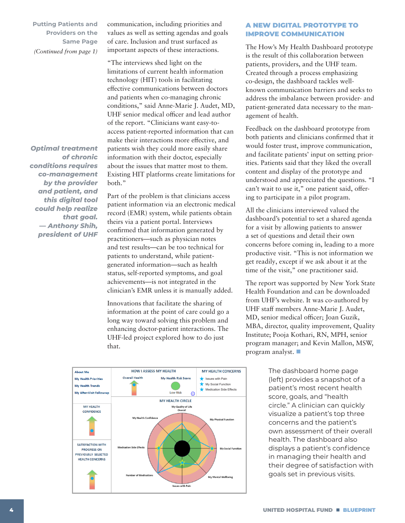**Putting Patients and Providers on the Same Page**  *(Continued from page 1)*

*Optimal treatment of chronic conditions requires co-management by the provider and patient, and this digital tool could help realize that goal. — Anthony Shih, president of UHF*

communication, including priorities and values as well as setting agendas and goals of care. Inclusion and trust surfaced as important aspects of these interactions.

"The interviews shed light on the limitations of current health information technology (HIT) tools in facilitating effective communications between doctors and patients when co-managing chronic conditions," said Anne-Marie J. Audet, MD, UHF senior medical officer and lead author of the report. "Clinicians want easy-toaccess patient-reported information that can make their interactions more effective, and patients wish they could more easily share information with their doctor, especially about the issues that matter most to them. Existing HIT platforms create limitations for both."

Part of the problem is that clinicians access patient information via an electronic medical record (EMR) system, while patients obtain theirs via a patient portal. Interviews confirmed that information generated by practitioners—such as physician notes and test results—can be too technical for patients to understand, while patientgenerated information—such as health status, self-reported symptoms, and goal achievements—is not integrated in the clinician's EMR unless it is manually added.

Innovations that facilitate the sharing of information at the point of care could go a long way toward solving this problem and enhancing doctor-patient interactions. The UHF-led project explored how to do just **ILL PROVIDE A** single *I* that. *circle with links to navigate to other sections of the dashboard.* 



# A NEW DIGITAL PROTOTYPE TO IMPROVE COMMUNICATION

The How's My Health Dashboard prototype is the result of this collaboration between patients, providers, and the UHF team. Created through a process emphasizing co-design, the dashboard tackles wellknown communication barriers and seeks to address the imbalance between provider- and patient-generated data necessary to the management of health.

Feedback on the dashboard prototype from both patients and clinicians confirmed that it would foster trust, improve communication, and facilitate patients' input on setting priorities. Patients said that they liked the overall content and display of the prototype and understood and appreciated the questions. "I can't wait to use it," one patient said, offering to participate in a pilot program.

All the clinicians interviewed valued the dashboard's potential to set a shared agenda for a visit by allowing patients to answer a set of questions and detail their own concerns before coming in, leading to a more productive visit. "This is not information we get readily, except if we ask about it at the time of the visit," one practitioner said.

The report was supported by New York State Health Foundation and can be downloaded from UHF's website. It was co-authored by UHF staff members Anne-Marie J. Audet, MD, senior medical officer; Joan Guzik, MBA, director, quality improvement, Quality Institute; Pooja Kothari, RN, MPH, senior program manager; and Kevin Mallon, MSW, program analyst.

> The dashboard home page (left) provides a snapshot of a patient's most recent health score, goals, and "health circle." A clinician can quickly visualize a patient's top three concerns and the patient's own assessment of their overall health. The dashboard also displays a patient's confidence in managing their health and their degree of satisfaction with goals set in previous visits.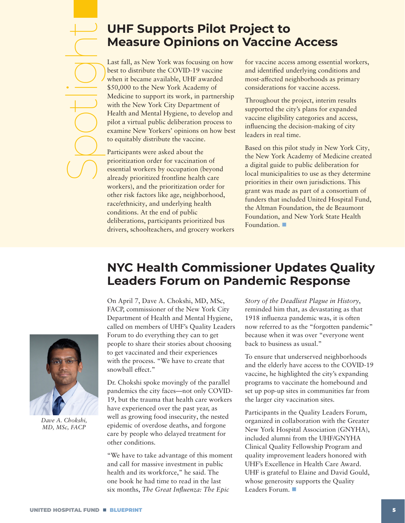# <span id="page-4-0"></span>**UHF Supports Pilot Project to Measure Opinions on Vaccine Access**  Spotlight

Last fall, as New York was focusing on how best to distribute the COVID-19 vaccine when it became available, UHF awarded \$50,000 to the New York Academy of Medicine to support its work, in partnership with the New York City Department of Health and Mental Hygiene, to develop and pilot a virtual public deliberation process to examine New Yorkers' opinions on how best to equitably distribute the vaccine.

Participants were asked about the prioritization order for vaccination of essential workers by occupation (beyond already prioritized frontline health care workers), and the prioritization order for other risk factors like age, neighborhood, race/ethnicity, and underlying health conditions. At the end of public deliberations, participants prioritized bus drivers, schoolteachers, and grocery workers

for vaccine access among essential workers, and identified underlying conditions and most-affected neighborhoods as primary considerations for vaccine access.

Throughout the project, interim results supported the city's plans for expanded vaccine eligibility categories and access, influencing the decision-making of city leaders in real time.

Based on this pilot study in New York City, the New York Academy of Medicine created a digital guide to public deliberation for local municipalities to use as they determine priorities in their own jurisdictions. This grant was made as part of a consortium of funders that included United Hospital Fund, the Altman Foundation, the de Beaumont Foundation, and New York State Health Foundation.

# **NYC Health Commissioner Updates Quality Leaders Forum on Pandemic Response**

On April 7, Dave A. Chokshi, MD, MSc, FACP, commissioner of the New York City Department of Health and Mental Hygiene, called on members of UHF's Quality Leaders Forum to do everything they can to get people to share their stories about choosing to get vaccinated and their experiences with the process. "We have to create that snowball effect."

Dr. Chokshi spoke movingly of the parallel pandemics the city faces—not only COVID-19, but the trauma that health care workers have experienced over the past year, as well as growing food insecurity, the nested epidemic of overdose deaths, and forgone care by people who delayed treatment for other conditions.

"We have to take advantage of this moment and call for massive investment in public health and its workforce," he said. The one book he had time to read in the last six months, *The Great Influenza: The Epic* 

*Story of the Deadliest Plague in History*, reminded him that, as devastating as that 1918 influenza pandemic was, it is often now referred to as the "forgotten pandemic" because when it was over "everyone went back to business as usual."

To ensure that underserved neighborhoods and the elderly have access to the COVID-19 vaccine, he highlighted the city's expanding programs to vaccinate the homebound and set up pop-up sites in communities far from the larger city vaccination sites.

Participants in the Quality Leaders Forum, organized in collaboration with the Greater New York Hospital Association (GNYHA), included alumni from the UHF/GNYHA Clinical Quality Fellowship Program and quality improvement leaders honored with UHF's Excellence in Health Care Award. UHF is grateful to Elaine and David Gould, whose generosity supports the Quality Leaders Forum.



*Dave A. Chokshi, MD, MSc, FACP*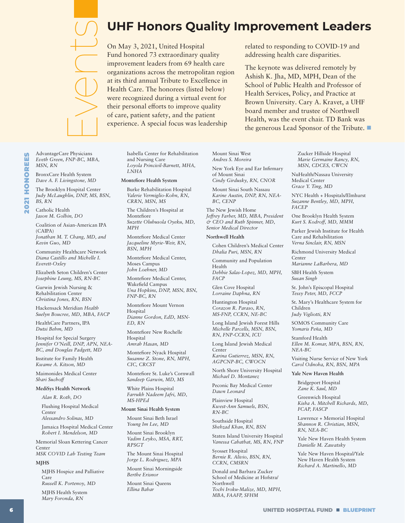*BS, RN* Catholic Health *Jason M. Golbin, DO*

*MSN, RN*

AdvantageCare Physicians *Eveth Green, FNP-BC, MBA,* 

BronxCare Health System *Dave A. F. Livingstone, MD* The Brooklyn Hospital Center *Judy McLaughlin, DNP, MS, BSN,* 

Coalition of Asian-American IPA (CAIPA) *Jonathan M. T. Chang, MD, and Kevin Guo, MD*

<span id="page-5-0"></span>Events

Community Healthcare Network *Diana Castillo and Michelle I. Everett-Oxley*

Elizabeth Seton Children's Center *Josephine Leung, MS, RN-BC*

Gurwin Jewish Nursing & Rehabilitation Center *Christina Jones, RN, BSN*

Hackensack Meridian *Health Suelyn Boucree, MD, MBA, FACP*

HealthCare Partners, IPA *Dutsi Behm, MD*

Hospital for Special Surgery *Jennifer O'Neill, DNP, APN, NEA-BC, and Douglas Padgett, MD*

Institute for Family Health *Kwame A. Kitson, MD*

Maimonides Medical Center *Shari Suchoff*

**MediSys Health Network** 

*Alan R. Roth, DO*

Flushing Hospital Medical Center

*Alessandro Solinas, MD*

Jamaica Hospital Medical Center *Robert I. Mendelson, MD*

Memorial Sloan Kettering Cancer Center *MSK COVID Lab Testing Team*

**MJHS**

MJHS Hospice and Palliative Care *Russell K. Portenoy, MD*

MJHS Health System *Mary Foronda, RN*

# **UHF Honors Quality Improvement Leaders**

On May 3, 2021, United Hospital Fund honored 73 extraordinary quality improvement leaders from 69 health care organizations across the metropolitan region at its third annual Tribute to Excellence in Health Care. The honorees (listed below) were recognized during a virtual event for their personal efforts to improve quality of care, patient safety, and the patient experience. A special focus was leadership

related to responding to COVID-19 and addressing health care disparities.

The keynote was delivered remotely by Ashish K. Jha, MD, MPH, Dean of the School of Public Health and Professor of Health Services, Policy, and Practice at Brown University. Cary A. Kravet, a UHF board member and trustee of Northwell Health, was the event chair. TD Bank was the generous Lead Sponsor of the Tribute.

Isabella Center for Rehabilitation and Nursing Care *Loyola Princivil-Barnett, MHA, LNHA*

### **Montefiore Health System**

Burke Rehabilitation Hospital *Valerie Vermiglio-Kohn, RN, CRRN, MSN, MS*

The Children's Hospital at Montefiore *Suzette Olubusola Oyeku, MD, MPH*

Montefiore Medical Center *Jacqueline Myrie-Weir, RN, BSN, MPH*

Montefiore Medical Center, Moses Campus *John Loehner, MD*

Montefiore Medical Center, Wakefield Campus *Una Hopkins, DNP, MSN, BSN, FNP-BC, RN*

Montefiore Mount Vernon Hospital *Dianne Gordon, EdD, MSN-*

*ED, RN* Montefiore New Rochelle

Hospital *Amrah Hasan, MD*

Montefiore Nyack Hospital *Susanne Z. Stone, RN, MPH, CIC, CRCST*

Montefiore St. Luke's Cornwall *Sandeep Garwin, MD, MS*

White Plains Hospital *Farrukh Nadeem Jafri, MD, MS-HPEd*

### **Mount Sinai Health System**

Mount Sinai Beth Israel *Young Im Lee, MD*

Mount Sinai Brooklyn *Vadim Leyko, MSA, RRT, RPSGT*

The Mount Sinai Hospital *Jorge L. Rodriguez, MPA*

Mount Sinai Morningside *Berthe Erisnor*

Mount Sinai Queens *Ellina Babar*

Mount Sinai West *Andres S. Moreira*

New York Eye and Ear Infirmary of Mount Sinai *Cindy Girdusky, RN, CNOR*

Mount Sinai South Nassau *Karine Austin, DNP, RN, NEA-BC, CENP*

The New Jewish Home *Jeffrey Farber, MD, MBA, President & CEO and Ruth Spinner, MD, Senior Medical Director*

### **Northwell Health**

Cohen Children's Medical Center *Dhalia Puri, MSN, RN*

Community and Population Health *Debbie Salas-Lopez, MD, MPH,* 

*FACP*  Glen Cove Hospital

*Lorraine Daphna, RN*

Huntington Hospital *Corazon R. Paraso, RN, MS-FNP, CCRN, NE-BC*

Long Island Jewish Forest Hills *Michelle Parcells, MSN, BSN, RN, FNP-CCRN, ICU*

Long Island Jewish Medical Center *Karina Gutierrez, MSN, RN, AGPCNP-BC, CWOCN*

North Shore University Hospital *Michael D. Montanez*

Peconic Bay Medical Center *Dawn Leonard*

Plainview Hospital *Kwest-Ann Samuels, BSN, RN-BC*

Southside Hospital *Shehzad Khan, RN, BSN*

Staten Island University Hospital *Vanessa Cabatbat, MS, RN, FNP*

Syosset Hospital *Bernie R. Alivio, BSN, RN, CCRN, CMSRN*

Donald and Barbara Zucker School of Medicine at Hofstra/ Northwell *Tochi Iroku-Malize, MD, MPH, MBA, FAAFP, SFHM*

Zucker Hillside Hospital *Marie Germaine Rancy, RN, MSN, CDCES, CWCN*

NuHealth/Nassau University Medical Center *Grace Y. Ting, MD*

NYC Health + Hospitals/Elmhurst *Suzanne Bentley, MD, MPH, FACEP*

One Brooklyn Health System *Kurt S. Kodroff, MD, MMM*

Parker Jewish Institute for Health Care and Rehabilitation *Verna Sinclair, RN, MSN*

Richmond University Medical Center

*Marianne LaBarbera, MD*

SBH Health System *Susan Singh*

St. John's Episcopal Hospital *Tessy Peter, MD, FCCP*

St. Mary's Healthcare System for Children *Judy Vigliotti, RN*

SOMOS Community Care *Yomaris Peña, MD*

Stamford Health *Ellen M. Komar, MPA, BSN, RN, NEA-BC*

Visiting Nurse Service of New York *Carol Odnoha, RN, BSN, MPA*

### **Yale New Haven Health**

Bridgeport Hospital *Zane K. Saul, MD*

Greenwich Hospital *Kisha A. Mitchell Richards, MD, FCAP, FASCP*

Lawrence + Memorial Hospital *Shannon R. Christian, MSN, RN, NEA-BC*

Yale New Haven Health System *Danielle M. Zawatsky*

Yale New Haven Hospital/Yale New Haven Health System *Richard A. Martinello, MD*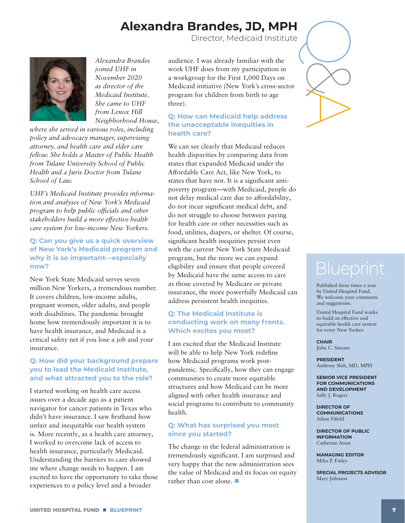# **Alexandra Brandes, JD, MPH**

Director, Medicaid Institute

<span id="page-6-0"></span>

*Alexandra Brandes joined UHF in November 2020 as director of the Medicaid Institute. She came to UHF from Lenox Hill Neighborhood House,* 

*where she served in various roles, including policy and advocacy manager, supervising attorney, and health care and elder care fellow. She holds a Master of Public Health from Tulane University School of Public Health and a Juris Doctor from Tulane School of Law.* 

*UHF's [Medicaid Institute](https://uhfnyc.org/our-work/initiatives/medicaid-institute/) provides information and analyses of New York's Medicaid program to help public officials and other stakeholders build a more effective health care system for low-income New Yorkers.*

# **Q: Can you give us a quick overview of New York's Medicaid program and why it is so important—especially now?**

New York State Medicaid serves seven million New Yorkers, a tremendous number. It covers children, low-income adults, pregnant women, older adults, and people with disabilities. The pandemic brought home how tremendously important it is to have health insurance, and Medicaid is a critical safety net if you lose a job and your insurance.

# **Q: How did your background prepare you to lead the Medicaid Institute, and what attracted you to the role?**

I started working on health care access issues over a decade ago as a patient navigator for cancer patients in Texas who didn't have insurance. I saw firsthand how unfair and inequitable our health system is. More recently, as a health care attorney, I worked to overcome lack of access to health insurance, particularly Medicaid. Understanding the barriers to care showed me where change needs to happen. I am excited to have the opportunity to take those experiences to a policy level and a broader

audience. I was already familiar with the work UHF does from my participation in a workgroup for the [First 1,000 Days on](https://uhfnyc.org/our-work/initiatives/childrens-health/first-1000-days-medicaid/)  [Medicaid](https://uhfnyc.org/our-work/initiatives/childrens-health/first-1000-days-medicaid/) initiative (New York's cross-sector program for children from birth to age three).

# **Q: How can Medicaid help address the unacceptable inequities in health care?**

We can see clearly that Medicaid reduces health disparities by comparing data from states that expanded Medicaid under the Affordable Care Act, like New York, to states that have not. It is a significant antipoverty program—with Medicaid, people do not delay medical care due to affordability, do not incur significant medical debt, and do not struggle to choose between paying for health care or other necessities such as food, utilities, diapers, or shelter. Of course, significant health inequities persist even with the current New York State Medicaid program, but the more we can expand eligibility and ensure that people covered by Medicaid have the same access to care as those covered by Medicare or private insurance, the more powerfully Medicaid can address persistent health inequities.

# **Q: The Medicaid Institute is conducting work on many fronts. Which excites you most?**

I am excited that the Medicaid Institute will be able to help New York redefine how Medicaid programs work postpandemic. Specifically, how they can engage communities to create more equitable structures and how Medicaid can be more aligned with other health insurance and social programs to contribute to community health.

# **Q: What has surprised you most since you started?**

The change in the federal administration is tremendously significant. I am surprised and very happy that the new administration sees the value of Medicaid and its focus on equity rather than cost alone.



Published three times a year by United Hospital Fund. We welcome your comments and suggestions.

United Hospital Fund works to build an effective and equitable health care system for every New Yorker.

**CHAIR** John C. Simons

**PRESIDENT** Anthony Shih, MD, MPH

**SENIOR VICE PRESIDENT FOR COMMUNICATIONS AND DEVELOPMENT** Sally J. Rogers

**DIRECTOR OF COMMUNICATIONS** Adam Fifield

**DIRECTOR OF PUBLIC INFORMATION** Catherine Arnst

**MANAGING EDITOR** Miles P. Finley

**SPECIAL PROJECTS ADVISOR** Mary Johnson